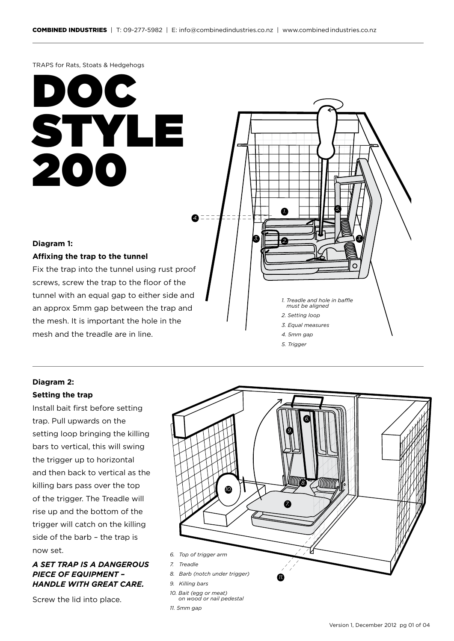TRAPS for Rats, Stoats & Hedgehogs

## DOC STYLE 200

## **Diagram 1:**

## **Affixing the trap to the tunnel**

Fix the trap into the tunnel using rust proof screws, screw the trap to the floor of the tunnel with an equal gap to either side and an approx 5mm gap between the trap and the mesh. It is important the hole in the mesh and the treadle are in line.



- *4. 5mm gap*
- *5. Trigger*

## **Diagram 2: Setting the trap**

Install bait first before setting trap. Pull upwards on the setting loop bringing the killing bars to vertical, this will swing the trigger up to horizontal and then back to vertical as the killing bars pass over the top of the trigger. The Treadle will rise up and the bottom of the trigger will catch on the killing side of the barb – the trap is now set.

## *A SET TRAP IS A DANGEROUS PIECE OF EQUIPMENT – HANDLE WITH GREAT CARE.*

Screw the lid into place.

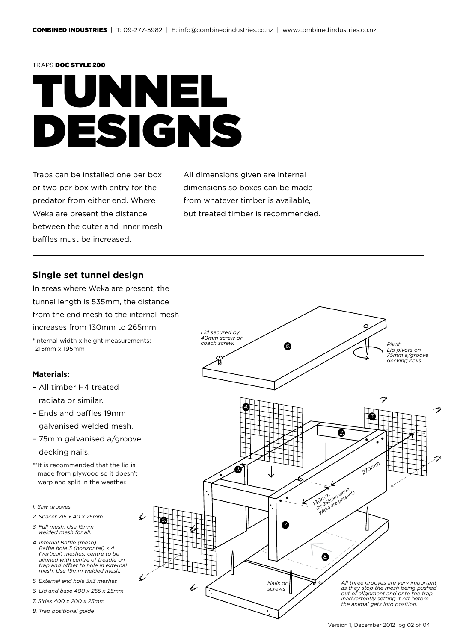#### TRAPS DOC STYLE 200

## TUNNEL DESIGNS

Traps can be installed one per box or two per box with entry for the predator from either end. Where Weka are present the distance between the outer and inner mesh baffles must be increased.

All dimensions given are internal dimensions so boxes can be made from whatever timber is available, but treated timber is recommended.

## **Single set tunnel design**

In areas where Weka are present, the tunnel length is 535mm, the distance from the end mesh to the internal mesh increases from 130mm to 265mm.

\*Internal width x height measurements: 215mm x 195mm

### **Materials:**

- All timber H4 treated radiata or similar.
- Ends and baffles 19mm galvanised welded mesh.
- 75mm galvanised a/groove decking nails.
- \*\*It is recommended that the lid is made from plywood so it doesn't warp and split in the weather.

*5.*

- *1. Saw grooves*
- *2. Spacer 215 x 40 x 25mm*
- *3. Full mesh. Use 19mm welded mesh for all.*
- *4. Internal Baffle (mesh). Baffle hole 3 (horizontal) x 4 (vertical) meshes, centre to be aligned with centre of treadle on trap and offset to hole in external mesh. Use 19mm welded mesh.*
- *5. External end hole 3x3 meshes*
- *6. Lid and base 400 x 255 x 25mm*
- *7. Sides 400 x 200 x 25mm*
- *8. Trap positional guide*

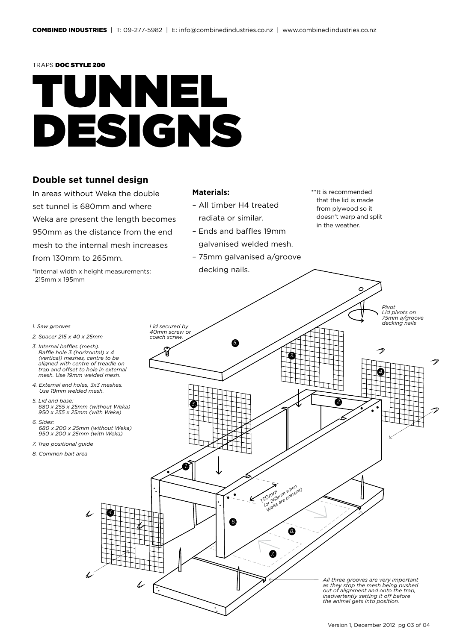#### TRAPS DOC STYLE 200

## UNNEL DESIGNS

## **Double set tunnel design**

In areas without Weka the double set tunnel is 680mm and where Weka are present the length becomes 950mm as the distance from the end mesh to the internal mesh increases from 130mm to 265mm.

\*Internal width x height measurements: 215mm x 195mm

#### **Materials:**



- Ends and baffles 19mm galvanised welded mesh.
- 75mm galvanised a/groove decking nails.
- \*\*It is recommended that the lid is made from plywood so it doesn't warp and split in the weather.

 $\epsilon$ 

*Pivot* 



- *2. Spacer 215 x 40 x 25mm*
- *3. Internal baffles (mesh). Baffle hole 3 (horizontal) x 4 (vertical) meshes, centre to be aligned with centre of treadle on trap and offset to hole in external mesh. Use 19mm welded mesh.*
- *4. External end holes, 3x3 meshes. Use 19mm welded mesh.*
- *5. Lid and base: 680 x 255 x 25mm (without Weka) 950 x 255 x 25mm (with Weka)*
- *6. Sides: 680 x 200 x 25mm (without Weka) 950 x 200 x 25mm (with Weka)*
- *7. Trap positional guide*
- *8. Common bait area*